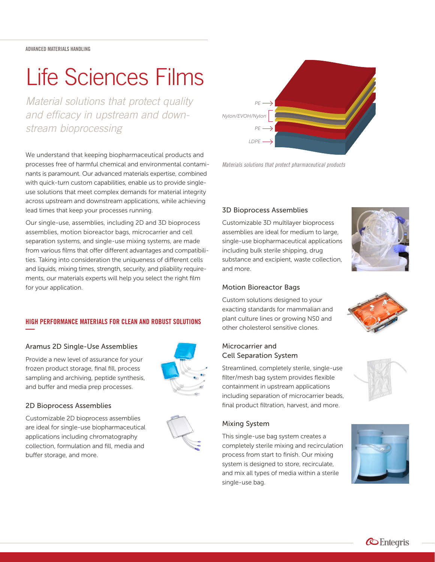ADVANCED MATERIALS HANDLING

# Life Sciences Films

*Material solutions that protect quality and efficacy in upstream and downstream bioprocessing*

We understand that keeping biopharmaceutical products and processes free of harmful chemical and environmental contaminants is paramount. Our advanced materials expertise, combined with quick-turn custom capabilities, enable us to provide singleuse solutions that meet complex demands for material integrity across upstream and downstream applications, while achieving lead times that keep your processes running.

Our single-use, assemblies, including 2D and 3D bioprocess assemblies, motion bioreactor bags, microcarrier and cell separation systems, and single-use mixing systems, are made from various films that offer different advantages and compatibilities. Taking into consideration the uniqueness of different cells and liquids, mixing times, strength, security, and pliability requirements, our materials experts will help you select the right film for your application.

## HIGH PERFORMANCE MATERIALS FOR CLEAN AND ROBUST SOLUTIONS **—**

#### Aramus 2D Single-Use Assemblies

Provide a new level of assurance for your frozen product storage, final fill, process sampling and archiving, peptide synthesis, and buffer and media prep processes.



## 2D Bioprocess Assemblies

Customizable 2D bioprocess assemblies are ideal for single-use biopharmaceutical applications including chromatography collection, formulation and fill, media and buffer storage, and more.





*Materials solutions that protect pharmaceutical products*

## 3D Bioprocess Assemblies

Customizable 3D multilayer bioprocess assemblies are ideal for medium to large, single-use biopharmaceutical applications including bulk sterile shipping, drug substance and excipient, waste collection, and more.



#### Motion Bioreactor Bags

Custom solutions designed to your exacting standards for mammalian and plant culture lines or growing NS0 and other cholesterol sensitive clones.

# Microcarrier and Cell Separation System

Streamlined, completely sterile, single-use filter/mesh bag system provides flexible containment in upstream applications including separation of microcarrier beads, final product filtration, harvest, and more.

## Mixing System

This single-use bag system creates a completely sterile mixing and recirculation process from start to finish. Our mixing system is designed to store, recirculate, and mix all types of media within a sterile single-use bag.





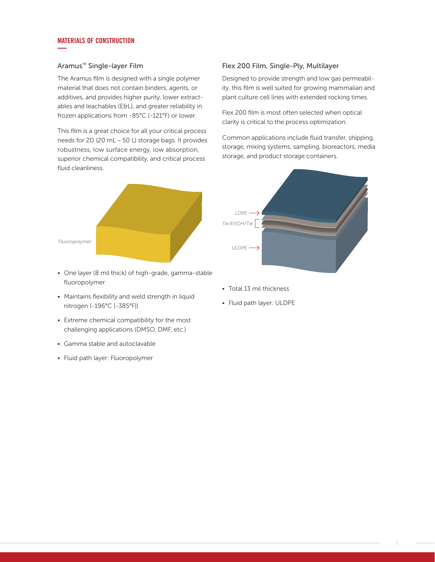#### MATERIALS OF CONSTRUCTION **—**

#### Aramus™ Single-layer Film

The Aramus film is designed with a single polymer material that does not contain binders, agents, or additives, and provides higher purity, lower extractables and leachables (E&L), and greater reliability in frozen applications from -85°C (-121°F) or lower.

This film is a great choice for all your critical process needs for 2D (20 mL – 50 L) storage bags. It provides robustness, low surface energy, low absorption, superior chemical compatibility, and critical process fluid cleanliness.



- One layer (8 mil thick) of high-grade, gamma-stable fluoropolymer
- Maintains flexibility and weld strength in liquid nitrogen (-196°C [-385°F])
- Extreme chemical compatibility for the most challenging applications (DMSO, DMF, etc.)
- Gamma stable and autoclavable
- Fluid path layer: Fluoropolymer

#### Flex 200 Film, Single-Ply, Multilayer

Designed to provide strength and low gas permeability, this film is well suited for growing mammalian and plant culture cell lines with extended rocking times.

Flex 200 film is most often selected when optical clarity is critical to the process optimization.

Common applications include fluid transfer, shipping, storage, mixing systems, sampling, bioreactors, media storage, and product storage containers.



- Total 13 mil thickness
- Fluid path layer: ULDPE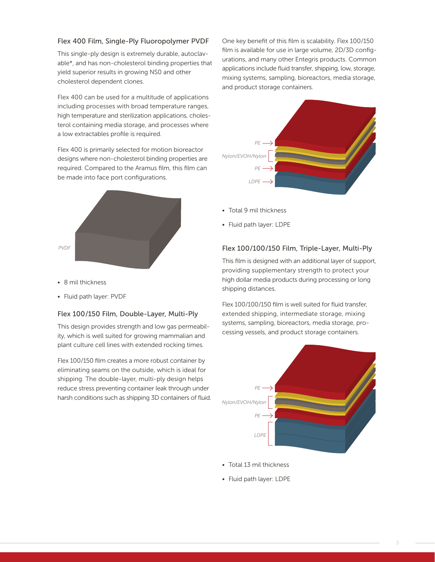#### Flex 400 Film, Single-Ply Fluoropolymer PVDF

This single-ply design is extremely durable, autoclavable\*, and has non-cholesterol binding properties that yield superior results in growing NS0 and other cholesterol dependent clones.

Flex 400 can be used for a multitude of applications including processes with broad temperature ranges, high temperature and sterilization applications, cholesterol containing media storage, and processes where a low extractables profile is required.

Flex 400 is primarily selected for motion bioreactor designs where non-cholesterol binding properties are required. Compared to the Aramus film, this film can be made into face port configurations.



- 8 mil thickness
- Fluid path layer: PVDF

#### Flex 100/150 Film, Double-Layer, Multi-Ply

This design provides strength and low gas permeability, which is well suited for growing mammalian and plant culture cell lines with extended rocking times.

Flex 100/150 film creates a more robust container by eliminating seams on the outside, which is ideal for shipping. The double-layer, multi-ply design helps reduce stress preventing container leak through under harsh conditions such as shipping 3D containers of fluid. One key benefit of this film is scalability. Flex 100/150 film is available for use in large volume, 2D/3D configurations, and many other Entegris products. Common applications include fluid transfer, shipping, low, storage, mixing systems, sampling, bioreactors, media storage, and product storage containers.



- Total 9 mil thickness
- Fluid path layer: LDPE

#### Flex 100/100/150 Film, Triple-Layer, Multi-Ply

This film is designed with an additional layer of support, providing supplementary strength to protect your high dollar media products during processing or long shipping distances.

Flex 100/100/150 film is well suited for fluid transfer, extended shipping, intermediate storage, mixing systems, sampling, bioreactors, media storage, processing vessels, and product storage containers.



- Total 13 mil thickness
- Fluid path layer: LDPE